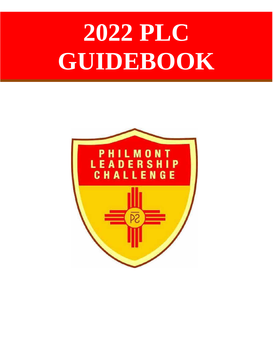# **2022 PLC GUIDEBOOK**

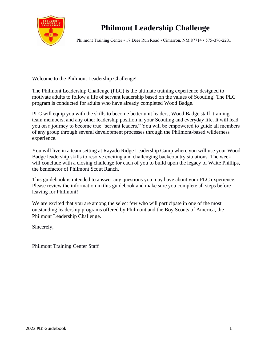

Philmont Training Center • 17 Deer Run Road • Cimarron, NM 87714 • 575-376-2281

Welcome to the Philmont Leadership Challenge!

The Philmont Leadership Challenge (PLC) is the ultimate training experience designed to motivate adults to follow a life of servant leadership based on the values of Scouting! The PLC program is conducted for adults who have already completed Wood Badge.

PLC will equip you with the skills to become better unit leaders, Wood Badge staff, training team members, and any other leadership position in your Scouting and everyday life. It will lead you on a journey to become true "servant leaders." You will be empowered to guide all members of any group through several development processes through the Philmont-based wilderness experience.

You will live in a team setting at Rayado Ridge Leadership Camp where you will use your Wood Badge leadership skills to resolve exciting and challenging backcountry situations. The week will conclude with a closing challenge for each of you to build upon the legacy of Waite Phillips, the benefactor of Philmont Scout Ranch.

This guidebook is intended to answer any questions you may have about your PLC experience. Please review the information in this guidebook and make sure you complete all steps before leaving for Philmont!

We are excited that you are among the select few who will participate in one of the most outstanding leadership programs offered by Philmont and the Boy Scouts of America, the Philmont Leadership Challenge.

Sincerely,

Philmont Training Center Staff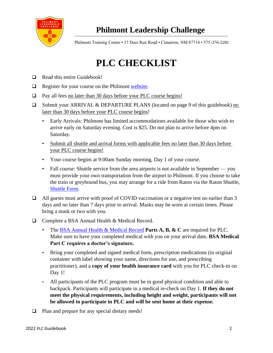

# **Philmont Leadership Challenge**

Philmont Training Center • 17 Deer Run Road • Cimarron, NM 87714 • 575-376-2281

# **PLC CHECKLIST**

- ❑ Read this entire Guidebook!
- ❑ Register for your course on the Philmont [website.](https://www.philmontscoutranch.org/ptc/plc/)
- ❑ Pay all fees no later than 30 days before your PLC course begins!
- ❑ Submit your ARRIVAL & DEPARTURE PLANS (located on page 9 of this guidebook) no later than 30 days before your PLC course begins!
	- Early Arrivals: Philmont has limited accommodations available for those who wish to arrive early on Saturday evening. Cost is \$25. Do not plan to arrive before 4pm on Saturday.
	- Submit all shuttle and arrival forms with applicable fees no later than 30 days before your PLC course begins!
	- Your course begins at 9:00am Sunday morning, Day 1 of your course.
	- Fall course: Shuttle service from the area airports is not available in September you must provide your own transportation from the airport to Philmont. If you choose to take the train or greyhound bus, you may arrange for a ride from Raton via the Raton Shuttle, [Shuttle](https://www.philmontscoutranch.org/ptc/planningyourvisit/getting-to-philmont/) Form.
- ❑ All guests must arrive with proof of COVID vaccination or a negative test no earlier than 3 days and no later than 7 days prior to arrival. Masks may be worn at certain times. Please bring a mask or two with you.
- ❑ Complete a BSA Annual Health & Medical Record.
	- The [BSA Annual Health & Medical Record](https://www.philmontscoutranch.org/philmonttreks/healthform/) **Parts A, B, & C** are required for PLC. Make sure to have your completed medical with you on your arrival date**. BSA Medical Part C requires a doctor's signature.**
	- Bring your completed and signed medical form, prescription medications (in original container with label showing your name, directions for use, and prescribing practitioner), and a **copy of your health insurance card** with you for PLC check-in on Day 1!
	- All participants of the PLC program must be in good physical condition and able to backpack. Participants will participate in a medical re-check on Day 1. **If they do not meet the physical requirements, including height and weight, participants will not be allowed to participate in PLC and will be sent home at their expense.**
- ❑ Plan and prepare for any special dietary needs!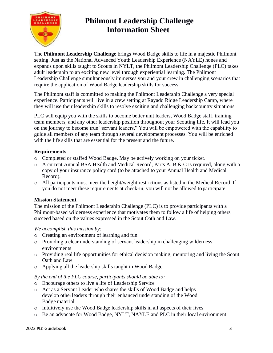

## **Philmont Leadership Challenge Information Sheet**

The **Philmont Leadership Challenge** brings Wood Badge skills to life in a majestic Philmont setting. Just as the National Advanced Youth Leadership Experience (NAYLE) hones and expands upon skills taught to Scouts in NYLT, the Philmont Leadership Challenge (PLC) takes adult leadership to an exciting new level through experiential learning. The Philmont Leadership Challenge simultaneously immerses you and your crew in challenging scenarios that require the application of Wood Badge leadership skills for success.

The Philmont staff is committed to making the Philmont Leadership Challenge a very special experience. Participants will live in a crew setting at Rayado Ridge Leadership Camp, where they will use their leadership skills to resolve exciting and challenging backcountry situations.

PLC will equip you with the skills to become better unit leaders, Wood Badge staff, training team members, and any other leadership position throughout your Scouting life. It will lead you on the journey to become true "servant leaders." You will be empowered with the capability to guide all members of any team through several development processes. You will be enriched with the life skills that are essential for the present and the future.

#### **Requirements**

- o Completed or staffed Wood Badge. May be actively working on your ticket.
- o A current Annual BSA Health and Medical Record, Parts A, B & C is required, along with a copy of your insurance policy card (to be attached to your Annual Health and Medical Record).
- o All participants must meet the height/weight restrictions as listed in the Medical Record. If you do not meet these requirements at check-in, you will not be allowed to participate.

#### **Mission Statement**

The mission of the Philmont Leadership Challenge (PLC) is to provide participants with a Philmont-based wilderness experience that motivates them to follow a life of helping others succeed based on the values expressed in the Scout Oath and Law.

#### *We accomplish this mission by:*

- o Creating an environment of learning and fun
- o Providing a clear understanding of servant leadership in challenging wilderness environments
- o Providing real life opportunities for ethical decision making, mentoring and living the Scout Oath and Law
- o Applying all the leadership skills taught in Wood Badge.

#### *By the end of the PLC course, participants should be able to:*

- o Encourage others to live a life of Leadership Service
- o Act as a Servant Leader who shares the skills of Wood Badge and helps develop otherleaders through their enhanced understanding of the Wood Badge material
- o Intuitively use the Wood Badge leadership skills in all aspects of their lives
- o Be an advocate for Wood Badge, NYLT, NAYLE and PLC in their local environment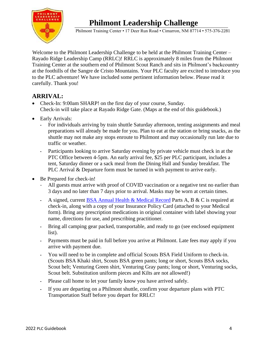# **Philmont Leadership Challenge**



Philmont Training Center • 17 Deer Run Road • Cimarron, NM 87714 • 575-376-2281

Welcome to the Philmont Leadership Challenge to be held at the Philmont Training Center – Rayado Ridge Leadership Camp (RRLC)! RRLC is approximately 8 miles from the Philmont Training Center at the southern end of Philmont Scout Ranch and sits in Philmont's backcountry at the foothills of the Sangre de Cristo Mountains. Your PLC faculty are excited to introduce you to the PLC adventure! We have included some pertinent information below. Please read it carefully. Thank you!

#### **ARRIVAL:**

- Check-In: 9:00am SHARP! on the first day of your course, Sunday. Check-in will take place at Rayado Ridge Gate. (Maps at the end of this guidebook.)
- Early Arrivals:
	- **-** For individuals arriving by train shuttle Saturday afternoon, tenting assignments and meal preparations will already be made for you. Plan to eat at the station or bring snacks, as the shuttle may not make any stops enroute to Philmont and may occasionally run late due to traffic or weather.
	- **-** Participants looking to arrive Saturday evening by private vehicle must check in at the PTC Office between 4-5pm. An early arrival fee, \$25 per PLC participant, includes a tent, Saturday dinner or a sack meal from the Dining Hall and Sunday breakfast. The PLC Arrival & Departure form must be turned in with payment to arrive early.
- Be Prepared for check-in!
	- All guests must arrive with proof of COVID vaccination or a negative test no earlier than 3 days and no later than 7 days prior to arrival. Masks may be worn at certain times.
	- **-** A signed, current [BSA Annual Health & Medical Record](https://www.philmontscoutranch.org/philmonttreks/healthform/) Parts A, B & C is required at check-in, along with a copy of your Insurance Policy Card (attached to your Medical form). Bring any prescription medications in original container with label showing your name, directions for use, and prescribing practitioner.
	- **-** Bring all camping gear packed, transportable, and ready to go (see enclosed [equipment](#page-6-0)  [list\)](#page-6-0).
	- **-** Payments must be paid in full before you arrive at Philmont. Late fees may apply if you arrive with payment due.
	- **-** You will need to be in complete and official Scouts BSA Field Uniform to check-in. (Scouts BSA Khaki shirt, Scouts BSA green pants; long or short, Scouts BSA socks, Scout belt; Venturing Green shirt, Venturing Gray pants; long or short, Venturing socks, Scout belt. Substitution uniform pieces and Kilts are not allowed!)
	- **-** Please call home to let your family know you have arrived safely.
	- **-** If you are departing on a Philmont shuttle, confirm your departure plans with PTC Transportation Staff before you depart for RRLC!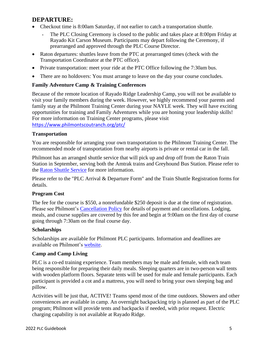#### **DEPARTURE:**

- Checkout time is 8:00am Saturday, if not earlier to catch a transportation shuttle.
	- **-** The PLC Closing Ceremony is closed to the public and takes place at 8:00pm Friday at Rayado Kit Carson Museum. Participants may depart following the Ceremony, if prearranged and approved through the PLC Course Director.
- Raton departures: shuttles leave from the PTC at prearranged times (check with the Transportation Coordinator at the PTC office).
- Private transportation: meet your ride at the PTC Office following the 7:30am bus.
- There are no holdovers: You must arrange to leave on the day your course concludes.

#### **Family Adventure Camp & Training Conferences**

Because of the remote location of Rayado Ridge Leadership Camp, you will not be available to visit your family members during the week. However, we highly recommend your parents and family stay at the Philmont Training Center during your NAYLE week. They will have exciting opportunities for training and Family Adventures while you are honing your leadership skills! For more information on Training Center programs, please visit <https://www.philmontscoutranch.org/ptc/>

#### **Transportation**

You are responsible for arranging your own transportation to the Philmont Training Center. The recommended mode of transportation from nearby airports is private or rental car in the fall.

Philmont has an arranged shuttle service that will pick up and drop off from the Raton Train Station in September, serving both the Amtrak trains and Greyhound Bus Station. Please refer to the [Raton Shuttle Service](https://www.philmontscoutranch.org/ptc/planningyourvisit/getting-to-philmont/) for more information.

Please refer to the "PLC Arrival & Departure Form" and the Train Shuttle Registration forms for details.

#### **Program Cost**

The fee for the course is \$550, a nonrefundable \$250 deposit is due at the time of registration. Please see Philmont's [Cancellation Policy](https://www.philmontscoutranch.org/ptc/planningyourvisit/policies/) for details of payment and cancellations. Lodging, meals, and course supplies are covered by this fee and begin at 9:00am on the first day of course going through 7:30am on the final course day.

#### **Scholarships**

Scholarships are available for Philmont PLC participants. Information and deadlines are available on Philmont's [website.](https://www.philmontscoutranch.org/ptc/rates/)

#### **Camp and Camp Living**

PLC is a co-ed training experience. Team members may be male and female, with each team being responsible for preparing their daily meals. Sleeping quarters are in two-person wall tents with wooden platform floors. Separate tents will be used for male and female participants. Each participant is provided a cot and a mattress, you will need to bring your own sleeping bag and pillow.

Activities will be just that, ACTIVE! Teams spend most of the time outdoors. Showers and other conveniences are available in camp. An overnight backpacking trip is planned as part of the PLC program; Philmont will provide tents and backpacks if needed, with prior request. Electric charging capability is not available at Rayado Ridge.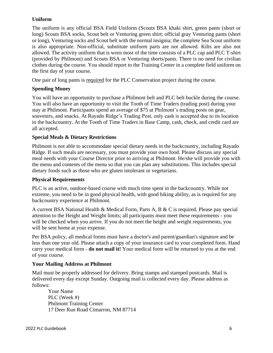#### **Uniform**

The uniform is any official BSA Field Uniform (Scouts BSA khaki shirt, green pants (short or long) Scouts BSA socks, Scout belt or Venturing green shirt; official gray Venturing pants (short or long), Venturing socks and Scout belt with the normal insignia; the complete Sea Scout uniform is also appropriate. Non-official, substitute uniform parts are not allowed. Kilts are also not allowed. The activity uniform that is worn most of the time consists of a PLC cap and PLC T-shirt (provided by Philmont) and Scouts BSA or Venturing shorts/pants. There is no need for civilian clothes during the course. You should report to the Training Center in a complete field uniform on the first day of your course.

One pair of long pants is required for the PLC Conservation project during the course.

#### **Spending Money**

You will have an opportunity to purchase a Philmont belt and PLC belt buckle during the course. You will also have an opportunity to visit the Tooth of Time Traders (trading post) during your stay at Philmont. Participants spend an average of \$75 at Philmont's trading posts on gear, souvenirs, and snacks. At Rayado Ridge's Trading Post, only cash is accepted due to its location in the backcountry. At the Tooth of Time Traders in Base Camp, cash, check, and credit card are all accepted.

#### **Special Meals & Dietary Restrictions**

Philmont is not able to accommodate special dietary needs in the backcountry, including Rayado Ridge. If such meals are necessary, you must provide your own food. Please discuss any special meal needs with your Course Director prior to arriving at Philmont. He/she will provide you with the menu and contents of the menu so that you can plan any substitutions. This includes special dietary foods such as those who are gluten intolerant or vegetarians.

#### **Physical Requirements**

PLC is an active, outdoor-based course with much time spent in the backcountry. While not extreme, you need to be in good physical health, with good hiking ability, as is required for any backcountry experience at Philmont.

<span id="page-6-0"></span>A current BSA National Health & Medical Form, Parts A, B & C is required. Please pay special attention to the Height and Weight limits; all participants must meet these requirements - you will be checked when you arrive. If you do not meet the height and weight requirements, you will be sent home at your expense.

Per BSA policy, all medical forms must have a doctor's and parent/guardian's signature and be less than one year old. Please attach a copy of your insurance card to your completed form. Hand carry your medical form - **do not mail it!** Your medical form will be returned to you at the end of your course.

#### **Your Mailing Address at Philmont**

Mail must be properly addressed for delivery. Bring stamps and stamped postcards. Mail is delivered every day except Sunday. Outgoing mail is collected every day. Please address as follows:

Your Name PLC (Week #) Philmont Training Center 17 Deer Run Road Cimarron, NM 87714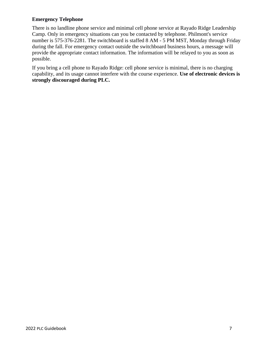#### **Emergency Telephone**

There is no landline phone service and minimal cell phone service at Rayado Ridge Leadership Camp. Only in emergency situations can you be contacted by telephone. Philmont's service number is 575-376-2281. The switchboard is staffed 8 AM - 5 PM MST, Monday through Friday during the fall. For emergency contact outside the switchboard business hours, a message will provide the appropriate contact information. The information will be relayed to you as soon as possible.

If you bring a cell phone to Rayado Ridge: cell phone service is minimal, there is no charging capability, and its usage cannot interfere with the course experience. **Use of electronic devices is strongly discouraged during PLC.**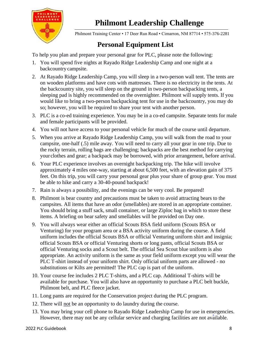



Philmont Training Center • 17 Deer Run Road • Cimarron, NM 87714 • 575-376-2281

## **Personal Equipment List**

To help you plan and prepare your personal gear for PLC, please note the following:

- 1. You will spend five nights at Rayado Ridge Leadership Camp and one night at a backcountry campsite.
- 2. At Rayado Ridge Leadership Camp, you will sleep in a two-person wall tent. The tents are on wooden platforms and have cots with mattresses. There is no electricity in the tents. At the backcountry site, you will sleep on the ground in two-person backpacking tents, a sleeping pad is highly recommended on the overnighter. Philmont will supply tents. If you would like to bring a two-person backpacking tent for use in the backcountry, you may do so; however, you will be required to share your tent with another person.
- 3. PLC is a co-ed training experience. You may be in a co-ed campsite. Separate tents for male and female participants will be provided.
- 4. You will not have access to your personal vehicle for much of the course until departure.
- 5. When you arrive at Rayado Ridge Leadership Camp, you will walk from the road to your campsite, one-half (.5) mile away. You will need to carry all your gear in one trip. Due to the rocky terrain, rolling bags are challenging; backpacks are the best method for carrying your clothes and gear; a backpack may be borrowed, with prior arrangement, before arrival.
- 6. Your PLC experience involves an overnight backpacking trip. The hike will involve approximately 4 miles one-way, starting at about 6,500 feet, with an elevation gain of 375 feet. On this trip, you will carry your personal gear plus your share of group gear. You must be able to hike and carry a 30-40-pound backpack!
- 7. Rain is always a possibility, and the evenings can be very cool. Be prepared!
- 8. Philmont is bear country and precautions must be taken to avoid attracting bears to the campsites. All items that have an odor (smellables) are stored in an appropriate container. You should bring a stuff sack, small container, or large Ziploc bag in which to store these items. A briefing on bear safety and smellables will be provided on Day one.
- 9. You will always wear either an official Scouts BSA field uniform (Scouts BSA or Venturing) for your program area or a BSA activity uniform during the course. A field uniform includes the official Scouts BSA or official Venturing uniform shirt and insignia; official Scouts BSA or official Venturing shorts or long pants, official Scouts BSA or official Venturing socks and a Scout belt. The official Sea Scout blue uniform is also appropriate. An activity uniform is the same as your field uniform except you will wear the PLC T-shirt instead of your uniform shirt. Only official uniform parts are allowed - no substitutions or Kilts are permitted! The PLC cap is part of the uniform.
- 10. Your course fee includes 2 PLC T-shirts, and a PLC cap. Additional T-shirts will be available for purchase. You will also have an opportunity to purchase a PLC belt buckle, Philmont belt, and PLC fleece jacket.
- 11. Long pants are required for the Conservation project during the PLC program.
- 12. There will not be an opportunity to do laundry during the course.
- 13. You may bring your cell phone to Rayado Ridge Leadership Camp for use in emergencies. However, there may not be any cellular service and charging facilities are not available.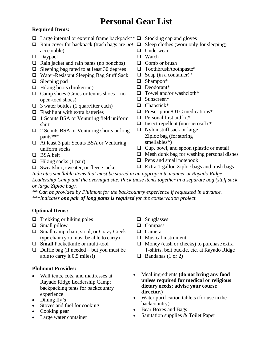# **Personal Gear List**

#### **Required Items:**

- ❑ Large internal or external frame backpack\*\* ❑ Stocking cap and gloves
- ❑ Rain cover for backpack (trash bags are *not*  ❑ Sleep clothes (worn only for sleeping) acceptable)
- ❑ Daypack
- ❑ Rain jacket and rain pants (no ponchos)
- ❑ Sleeping bag rated to at least 30 degrees
- ❑ Water-Resistant Sleeping Bag Stuff Sack
- ❑ Sleeping pad
- ❑ Hiking boots (broken-in)
- $\Box$  Camp shoes (Crocs or tennis shoes no open-toed shoes)
- $\Box$  3 water bottles (1 quart/liter each)
- ❑ Flashlight with extra batteries
- ❑ 1 Scouts BSA or Venturing field uniform shirt
- ❑ 2 Scouts BSA or Venturing shorts or long pants\*\*\*
- ❑ At least 3 pair Scouts BSA or Venturing uniform socks
- ❑ BSA belt
- $\Box$  Hiking socks (1 pair)
- ❑ Sweatshirt, sweater, or fleece jacket
- 
- 
- ❑ Underwear
- ❑ Watch
- ❑ Comb or brush
- ❑ Toothbrush/toothpaste\*
- $\Box$  Soap (in a container)  $*$
- ❑ Shampoo\*
- ❑ Deodorant\*
- $\Box$  Towel and/or washcloth\*
- ❑ Sunscreen\*
- ❑ Chapstick\*
- ❑ Prescription/OTC medications\*
- ❑ Personal first aid kit\*
- ❑ Insect repellent (non-aerosol) \*
- ❑ Nylon stuff sack or large Ziploc bag (forstoring smellables\*)
- ❑ Cup, bowl, and spoon (plastic or metal)
- $\Box$  Mesh dunk bag for washing personal dishes
- ❑ Pens and small notebook
- ❑ Extra 1-gallon Ziploc bags and trash bags

*Indicates smellable items that must be stored in an appropriate manner at Rayado Ridge Leadership Camp and the overnight site. Pack these items together in a separate bag (stuff sack or large Ziploc bag).*

*\*\* Can be provided by Philmont for the backcountry experience if requested in advance. \*\*\*Indicates one pair of long pants is required for the conservation project.*

#### **Optional Items:**

- $\Box$  Trekking or hiking poles
- ❑ Small pillow
- ❑ Small camp chair, stool, or Crazy Creek type chair (you must be able to carry)
- ❑ **Small** Pocketknife or multi-tool
- $\Box$  Duffle bag (if needed but you must be able to carry it 0.5 miles!)

#### **Philmont Provides:**

- Wall tents, cots, and mattresses at Rayado Ridge Leadership Camp; backpacking tents for backcountry experience
- Dining fly's
- Stoves and fuel for cooking
- Cooking gear
- Large water container
- ❑ Sunglasses
- ❑ Compass
- ❑ Camera
- ❑ Musical instrument
- ❑ Money (cash or checks) to purchase extra T-shirts, belt buckle, etc. at Rayado Ridge
- $\Box$  Bandanas (1 or 2)
- Meal ingredients **(do not bring any food unless required for medical or religious dietary needs; advise your course director.)**
- Water purification tablets (for use in the backcountry)
- Bear Boxes and Bags
- Sanitation supplies & Toilet Paper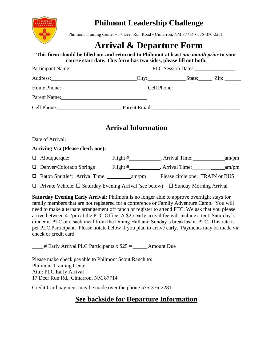

Philmont Training Center • 17 Deer Run Road • Cimarron, NM 87714 • 575-376-2281

# **Arrival & Departure Form**

#### **This form should be filled out and returned to Philmont at least** *one month prior* **to your course start date. This form has two sides, please fill out both.**

| Participant Name: PLC Session Dates:         |  |  |  |  |  |
|----------------------------------------------|--|--|--|--|--|
| Address: <u>City: City: State:</u> Zip: Zip: |  |  |  |  |  |
| Home Phone: Cell Phone: Cell Phone:          |  |  |  |  |  |
|                                              |  |  |  |  |  |
|                                              |  |  |  |  |  |

## **Arrival Information**

Date of Arrival: **Arriving Via (Please check one):** ❑ Albuquerque: Flight # , Arrival Time: \_\_\_\_\_\_\_\_\_\_\_ am/pm ❑ Denver/Colorado Springs Flight # \_\_\_\_\_\_\_\_\_\_\_, Arrival Time:\_\_\_\_\_\_\_ am/pm ❑ Raton Shuttle\*: Arrival Time: \_\_\_\_\_\_\_\_\_am/pm Please circle one: TRAIN or BUS  $\Box$  Private Vehicle:  $\Box$  Saturday Evening Arrival (see below)  $\Box$  Sunday Morning Arrival

**Saturday Evening Early Arrival:** Philmont is no longer able to approve overnight stays for family members that are not registered for a conference or Family Adventure Camp. You will need to make alternate arrangement off ranch or register to attend PTC. We ask that you please arrive between 4-7pm at the PTC Office. A \$25 early arrival fee will include a tent, Saturday's dinner at PTC or a sack meal from the Dining Hall and Sunday's breakfast at PTC. This rate is per PLC Participant. Please notate below if you plan to arrive early. Payments may be made via check or credit card.

 $\frac{1}{1}$  # Early Arrival PLC Participants x \$25 =  $\frac{1}{1}$  Amount Due

Please make check payable to Philmont Scout Ranch to: Philmont Training Center Attn: PLC Early Arrival 17 Deer Run Rd., Cimarron, NM 87714

Credit Card payment may be made over the phone 575-376-2281.

## **See backside for Departure Information**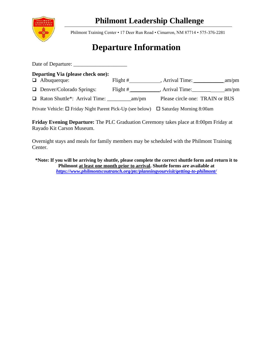

## **Philmont Leadership Challenge**

Philmont Training Center • 17 Deer Run Road • Cimarron, NM 87714 • 575-376-2281

# **Departure Information**

| <b>Departing Via (please check one):</b><br>$\Box$ Albuquerque:                                | Flight $\#$            | , Arrival Time: am/pm           |  |
|------------------------------------------------------------------------------------------------|------------------------|---------------------------------|--|
| $\Box$ Denver/Colorado Springs:                                                                | Flight # $\frac{1}{2}$ |                                 |  |
|                                                                                                |                        | Please circle one: TRAIN or BUS |  |
| Private Vehicle: $\Box$ Friday Night Parent Pick-Up (see below) $\Box$ Saturday Morning 8:00am |                        |                                 |  |

**Friday Evening Departure:** The PLC Graduation Ceremony takes place at 8:00pm Friday at Rayado Kit Carson Museum.

Overnight stays and meals for family members may be scheduled with the Philmont Training Center.

**\*Note: If you will be arriving by shuttle, please complete the correct shuttle form and return it to Philmont at least one month prior to arrival. Shuttle forms are available at**  *<https://www.philmontscoutranch.org/ptc/planningyourvisit/getting-to-philmont/>*